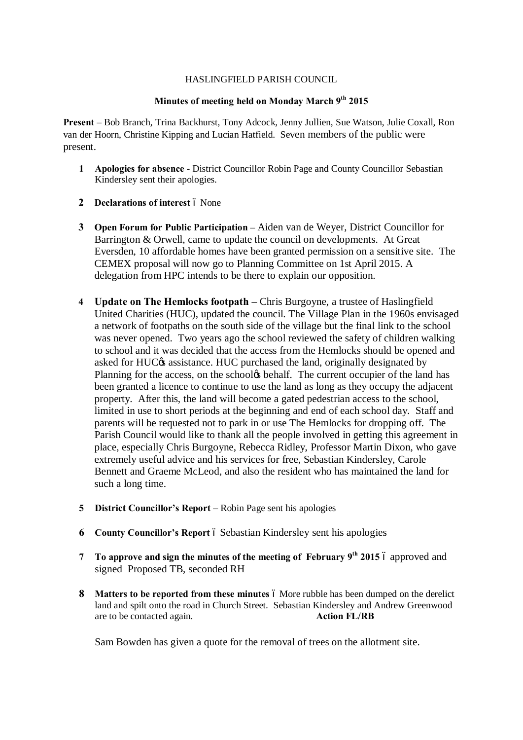## HASLINGFIELD PARISH COUNCIL

## **Minutes of meeting held on Monday March 9th 2015**

**Present –** Bob Branch, Trina Backhurst, Tony Adcock, Jenny Jullien, Sue Watson, Julie Coxall, Ron van der Hoorn, Christine Kipping and Lucian Hatfield. Seven members of the public were present.

- **1 Apologies for absence** District Councillor Robin Page and County Councillor Sebastian Kindersley sent their apologies.
- **2 Declarations of interest**  $\acute{o}$  None
- **3 Open Forum for Public Participation –** Aiden van de Weyer, District Councillor for Barrington & Orwell, came to update the council on developments. At Great Eversden, 10 affordable homes have been granted permission on a sensitive site. The CEMEX proposal will now go to Planning Committee on 1st April 2015. A delegation from HPC intends to be there to explain our opposition.
- **4 Update on The Hemlocks footpath –** Chris Burgoyne, a trustee of Haslingfield United Charities (HUC), updated the council. The Village Plan in the 1960s envisaged a network of footpaths on the south side of the village but the final link to the school was never opened. Two years ago the school reviewed the safety of children walking to school and it was decided that the access from the Hemlocks should be opened and asked for HUC $\alpha$  assistance. HUC purchased the land, originally designated by Planning for the access, on the school $\phi$  behalf. The current occupier of the land has been granted a licence to continue to use the land as long as they occupy the adjacent property. After this, the land will become a gated pedestrian access to the school, limited in use to short periods at the beginning and end of each school day. Staff and parents will be requested not to park in or use The Hemlocks for dropping off. The Parish Council would like to thank all the people involved in getting this agreement in place, especially Chris Burgoyne, Rebecca Ridley, Professor Martin Dixon, who gave extremely useful advice and his services for free, Sebastian Kindersley, Carole Bennett and Graeme McLeod, and also the resident who has maintained the land for such a long time.
- **5 District Councillor's Report –** Robin Page sent his apologies
- **6 County Councillor's Report** 6 Sebastian Kindersley sent his apologies
- **7 To approve and sign the minutes of the meeting of February 9<sup>th</sup> 2015**  $\acute{o}$  **approved and** signed Proposed TB, seconded RH
- **8 Matters to be reported from these minutes**  $\acute{o}$  More rubble has been dumped on the derelict land and spilt onto the road in Church Street. Sebastian Kindersley and Andrew Greenwood are to be contacted again. **Action FL/RB**

Sam Bowden has given a quote for the removal of trees on the allotment site.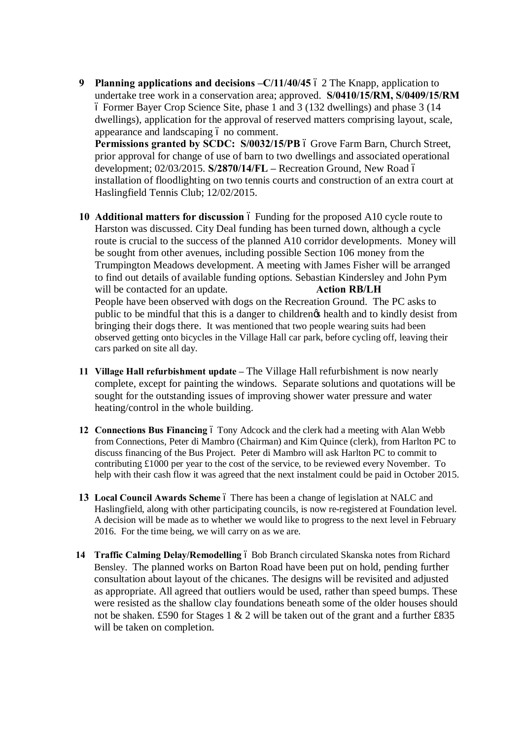**9 Planning applications and decisions –C/11/40/45** 6 2 The Knapp, application to undertake tree work in a conservation area; approved. **S/0410/15/RM, S/0409/15/RM** – Former Bayer Crop Science Site, phase 1 and 3 (132 dwellings) and phase 3 (14 dwellings), application for the approval of reserved matters comprising layout, scale, appearance and landscaping 6 no comment.

Permissions granted by SCDC: S/0032/15/PB 6 Grove Farm Barn, Church Street, prior approval for change of use of barn to two dwellings and associated operational development; 02/03/2015. **S/2870/14/FL –** Recreation Ground, New Road – installation of floodlighting on two tennis courts and construction of an extra court at Haslingfield Tennis Club; 12/02/2015.

- **10 Additional matters for discussion**  $\acute{o}$  Funding for the proposed A10 cycle route to Harston was discussed. City Deal funding has been turned down, although a cycle route is crucial to the success of the planned A10 corridor developments. Money will be sought from other avenues, including possible Section 106 money from the Trumpington Meadows development. A meeting with James Fisher will be arranged to find out details of available funding options. Sebastian Kindersley and John Pym will be contacted for an update. **Action RB/LH** People have been observed with dogs on the Recreation Ground. The PC asks to public to be mindful that this is a danger to children's health and to kindly desist from bringing their dogs there. It was mentioned that two people wearing suits had been observed getting onto bicycles in the Village Hall car park, before cycling off, leaving their cars parked on site all day.
- **11 Village Hall refurbishment update –** The Village Hall refurbishment is now nearly complete, except for painting the windows. Separate solutions and quotations will be sought for the outstanding issues of improving shower water pressure and water heating/control in the whole building.
- **12 Connections Bus Financing** 6 Tony Adcock and the clerk had a meeting with Alan Webb from Connections, Peter di Mambro (Chairman) and Kim Quince (clerk), from Harlton PC to discuss financing of the Bus Project. Peter di Mambro will ask Harlton PC to commit to contributing £1000 per year to the cost of the service, to be reviewed every November. To help with their cash flow it was agreed that the next instalment could be paid in October 2015.
- **13 Local Council Awards Scheme** 6 There has been a change of legislation at NALC and Haslingfield, along with other participating councils, is now re-registered at Foundation level. A decision will be made as to whether we would like to progress to the next level in February 2016. For the time being, we will carry on as we are.
- **14 Traffic Calming Delay/Remodelling** 6 Bob Branch circulated Skanska notes from Richard Bensley. The planned works on Barton Road have been put on hold, pending further consultation about layout of the chicanes. The designs will be revisited and adjusted as appropriate. All agreed that outliers would be used, rather than speed bumps. These were resisted as the shallow clay foundations beneath some of the older houses should not be shaken. £590 for Stages 1 & 2 will be taken out of the grant and a further £835 will be taken on completion.